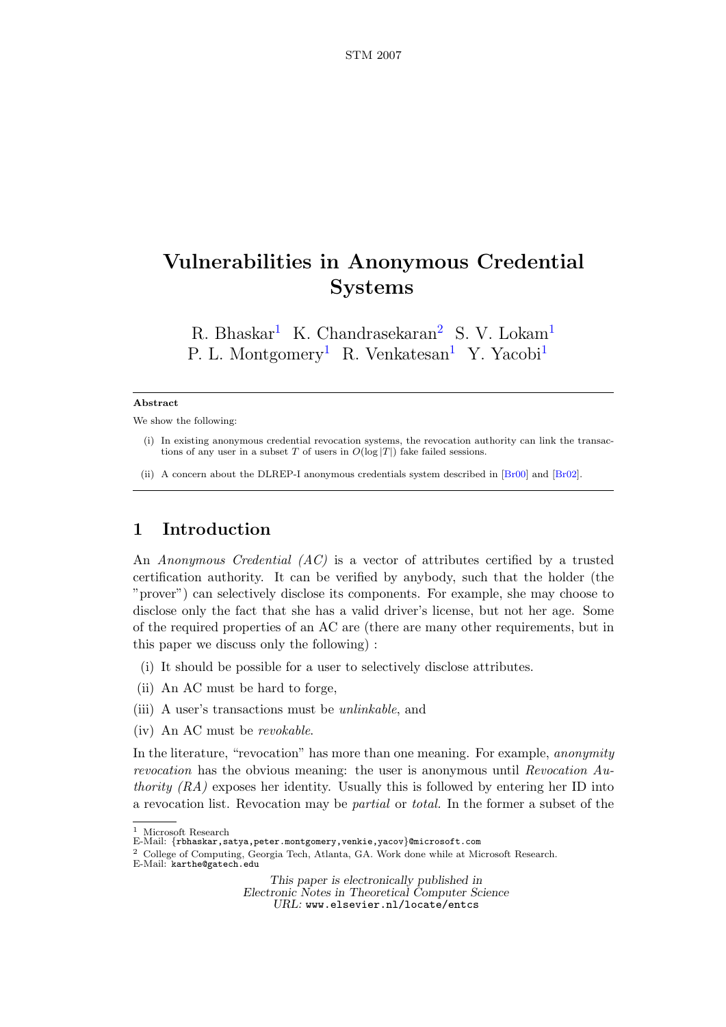# Vulnerabilities in Anonymous Credential Systems

<span id="page-0-0"></span>R. Bhaskar<sup>[1](#page-0-0)</sup> K. Chandrasekaran<sup>[2](#page-0-0)</sup> S. V. Lokam<sup>1</sup> P. L. Montgomery<sup>[1](#page-0-0)</sup> R. Venkatesan<sup>1</sup> Y. Yacobi<sup>1</sup>

#### Abstract

We show the following:

- (i) In existing anonymous credential revocation systems, the revocation authority can link the transactions of any user in a subset T of users in  $O(\log |T|)$  fake failed sessions.
- (ii) A concern about the DLREP-I anonymous credentials system described in [\[Br00\]](#page-5-0) and [\[Br02\]](#page-5-1).

### 1 Introduction

An Anonymous Credential (AC) is a vector of attributes certified by a trusted certification authority. It can be verified by anybody, such that the holder (the "prover") can selectively disclose its components. For example, she may choose to disclose only the fact that she has a valid driver's license, but not her age. Some of the required properties of an AC are (there are many other requirements, but in this paper we discuss only the following) :

- (i) It should be possible for a user to selectively disclose attributes.
- (ii) An AC must be hard to forge,
- (iii) A user's transactions must be unlinkable, and
- (iv) An AC must be revokable.

In the literature, "revocation" has more than one meaning. For example, anonymity revocation has the obvious meaning: the user is anonymous until Revocation  $Au$ thority  $(RA)$  exposes her identity. Usually this is followed by entering her ID into a revocation list. Revocation may be partial or total. In the former a subset of the

This paper is electronically published in

Electronic Notes in Theoretical Computer Science URL: www.elsevier.nl/locate/entcs

<sup>1</sup> Microsoft Research

E-Mail: {rbhaskar,satya,peter.montgomery,venkie,yacov}@microsoft.com

 $^2\,$  College of Computing, Georgia Tech, Atlanta, GA. Work done while at Microsoft Research.

E-Mail: karthe@gatech.edu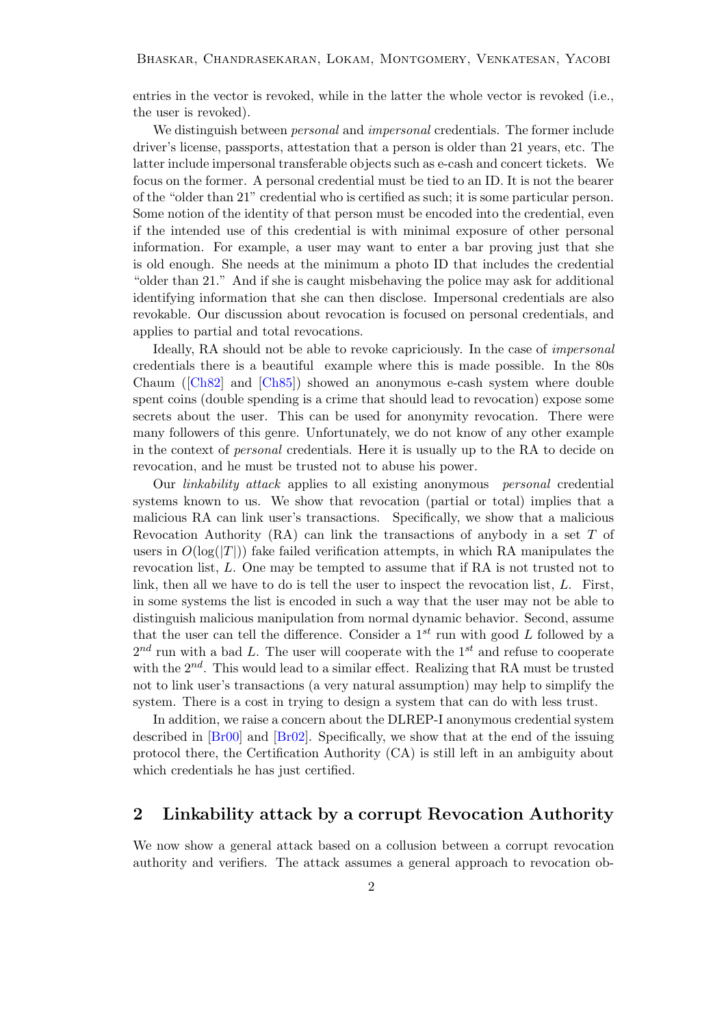entries in the vector is revoked, while in the latter the whole vector is revoked (i.e., the user is revoked).

We distinguish between *personal* and *impersonal* credentials. The former include driver's license, passports, attestation that a person is older than 21 years, etc. The latter include impersonal transferable objects such as e-cash and concert tickets. We focus on the former. A personal credential must be tied to an ID. It is not the bearer of the "older than 21" credential who is certified as such; it is some particular person. Some notion of the identity of that person must be encoded into the credential, even if the intended use of this credential is with minimal exposure of other personal information. For example, a user may want to enter a bar proving just that she is old enough. She needs at the minimum a photo ID that includes the credential "older than 21." And if she is caught misbehaving the police may ask for additional identifying information that she can then disclose. Impersonal credentials are also revokable. Our discussion about revocation is focused on personal credentials, and applies to partial and total revocations.

Ideally, RA should not be able to revoke capriciously. In the case of impersonal credentials there is a beautiful example where this is made possible. In the 80s Chaum ([\[Ch82\]](#page-5-2) and [\[Ch85\]](#page-5-3)) showed an anonymous e-cash system where double spent coins (double spending is a crime that should lead to revocation) expose some secrets about the user. This can be used for anonymity revocation. There were many followers of this genre. Unfortunately, we do not know of any other example in the context of personal credentials. Here it is usually up to the RA to decide on revocation, and he must be trusted not to abuse his power.

Our linkability attack applies to all existing anonymous personal credential systems known to us. We show that revocation (partial or total) implies that a malicious RA can link user's transactions. Specifically, we show that a malicious Revocation Authority  $(RA)$  can link the transactions of anybody in a set T of users in  $O(\log(|T|))$  fake failed verification attempts, in which RA manipulates the revocation list, L. One may be tempted to assume that if RA is not trusted not to link, then all we have to do is tell the user to inspect the revocation list, L. First, in some systems the list is encoded in such a way that the user may not be able to distinguish malicious manipulation from normal dynamic behavior. Second, assume that the user can tell the difference. Consider a  $1^{st}$  run with good L followed by a  $2^{nd}$  run with a bad L. The user will cooperate with the 1<sup>st</sup> and refuse to cooperate with the  $2^{nd}$ . This would lead to a similar effect. Realizing that RA must be trusted not to link user's transactions (a very natural assumption) may help to simplify the system. There is a cost in trying to design a system that can do with less trust.

In addition, we raise a concern about the DLREP-I anonymous credential system described in [\[Br00\]](#page-5-0) and [\[Br02\]](#page-5-1). Specifically, we show that at the end of the issuing protocol there, the Certification Authority (CA) is still left in an ambiguity about which credentials he has just certified.

#### <span id="page-1-0"></span>2 Linkability attack by a corrupt Revocation Authority

We now show a general attack based on a collusion between a corrupt revocation authority and verifiers. The attack assumes a general approach to revocation ob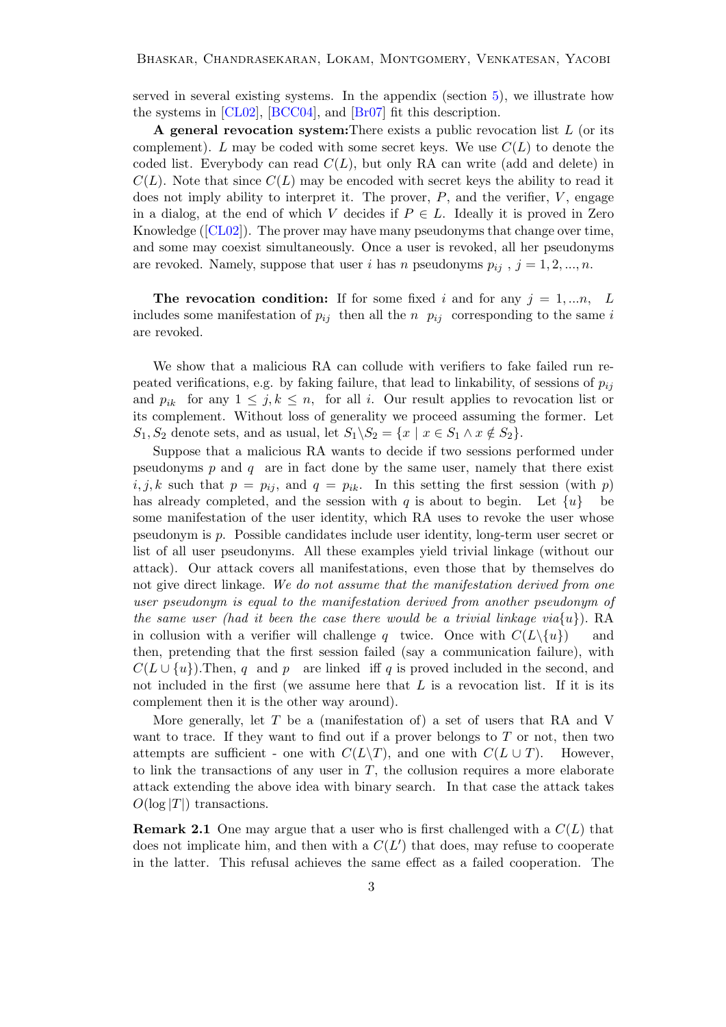served in several existing systems. In the appendix (section [5\)](#page-5-4), we illustrate how the systems in [\[CL02\]](#page-5-5), [\[BCC04\]](#page-5-6), and [\[Br07\]](#page-5-7) fit this description.

A general revocation system: There exists a public revocation list  $L$  (or its complement). L may be coded with some secret keys. We use  $C(L)$  to denote the coded list. Everybody can read  $C(L)$ , but only RA can write (add and delete) in  $C(L)$ . Note that since  $C(L)$  may be encoded with secret keys the ability to read it does not imply ability to interpret it. The prover,  $P$ , and the verifier,  $V$ , engage in a dialog, at the end of which V decides if  $P \in L$ . Ideally it is proved in Zero Knowledge ([\[CL02\]](#page-5-5)). The prover may have many pseudonyms that change over time, and some may coexist simultaneously. Once a user is revoked, all her pseudonyms are revoked. Namely, suppose that user i has n pseudonyms  $p_{ij}$ ,  $j = 1, 2, ..., n$ .

The revocation condition: If for some fixed i and for any  $j = 1,...n$ , L includes some manifestation of  $p_{ij}$  then all the n  $p_{ij}$  corresponding to the same i are revoked.

We show that a malicious RA can collude with verifiers to fake failed run repeated verifications, e.g. by faking failure, that lead to linkability, of sessions of  $p_{ij}$ and  $p_{ik}$  for any  $1 \leq j, k \leq n$ , for all i. Our result applies to revocation list or its complement. Without loss of generality we proceed assuming the former. Let  $S_1, S_2$  denote sets, and as usual, let  $S_1 \backslash S_2 = \{x \mid x \in S_1 \land x \notin S_2\}.$ 

Suppose that a malicious RA wants to decide if two sessions performed under pseudonyms  $p$  and  $q$  are in fact done by the same user, namely that there exist  $i, j, k$  such that  $p = p_{ij}$ , and  $q = p_{ik}$ . In this setting the first session (with p) has already completed, and the session with q is about to begin. Let  $\{u\}$  be some manifestation of the user identity, which RA uses to revoke the user whose pseudonym is p. Possible candidates include user identity, long-term user secret or list of all user pseudonyms. All these examples yield trivial linkage (without our attack). Our attack covers all manifestations, even those that by themselves do not give direct linkage. We do not assume that the manifestation derived from one user pseudonym is equal to the manifestation derived from another pseudonym of the same user (had it been the case there would be a trivial linkage  $via\{u\}$ ). RA in collusion with a verifier will challenge q twice. Once with  $C(L\setminus\{u\})$  and then, pretending that the first session failed (say a communication failure), with  $C(L \cup \{u\})$ . Then, q and p are linked iff q is proved included in the second, and not included in the first (we assume here that  $L$  is a revocation list. If it is its complement then it is the other way around).

More generally, let  $T$  be a (manifestation of) a set of users that RA and V want to trace. If they want to find out if a prover belongs to  $T$  or not, then two attempts are sufficient - one with  $C(L\backslash T)$ , and one with  $C(L\cup T)$ . However, to link the transactions of any user in  $T$ , the collusion requires a more elaborate attack extending the above idea with binary search. In that case the attack takes  $O(\log |T|)$  transactions.

**Remark 2.1** One may argue that a user who is first challenged with a  $C(L)$  that does not implicate him, and then with a  $C(L')$  that does, may refuse to cooperate in the latter. This refusal achieves the same effect as a failed cooperation. The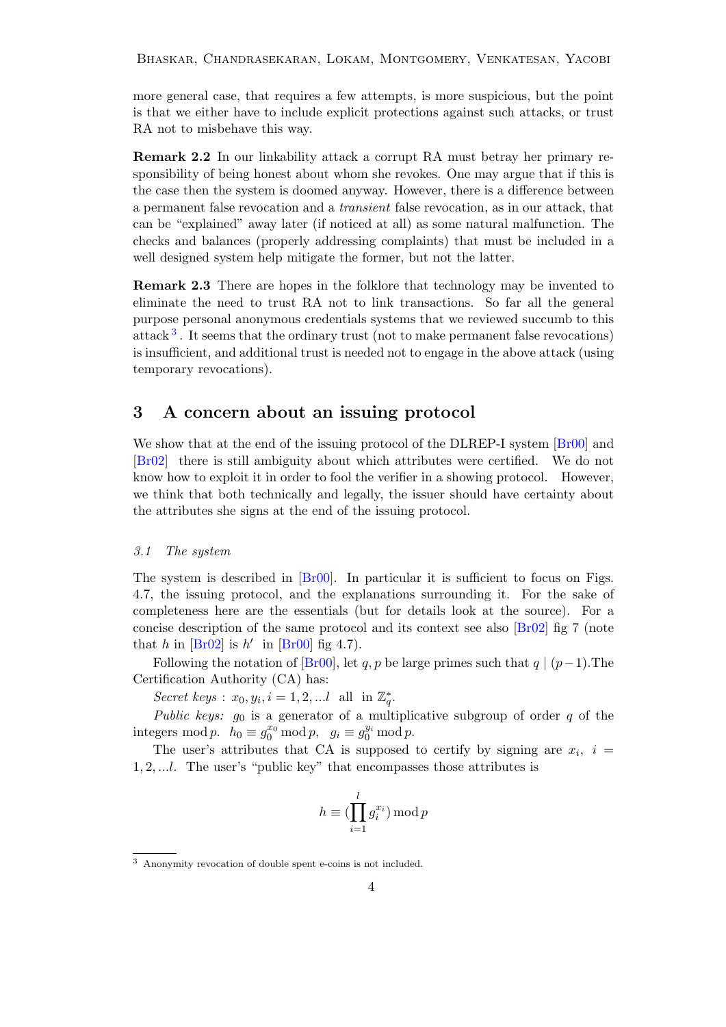Bhaskar, Chandrasekaran, Lokam, Montgomery, Venkatesan, Yacobi

more general case, that requires a few attempts, is more suspicious, but the point is that we either have to include explicit protections against such attacks, or trust RA not to misbehave this way.

Remark 2.2 In our linkability attack a corrupt RA must betray her primary responsibility of being honest about whom she revokes. One may argue that if this is the case then the system is doomed anyway. However, there is a difference between a permanent false revocation and a transient false revocation, as in our attack, that can be "explained" away later (if noticed at all) as some natural malfunction. The checks and balances (properly addressing complaints) that must be included in a well designed system help mitigate the former, but not the latter.

Remark 2.3 There are hopes in the folklore that technology may be invented to eliminate the need to trust RA not to link transactions. So far all the general purpose personal anonymous credentials systems that we reviewed succumb to this attack<sup>[3](#page-3-0)</sup>. It seems that the ordinary trust (not to make permanent false revocations) is insufficient, and additional trust is needed not to engage in the above attack (using temporary revocations).

#### 3 A concern about an issuing protocol

We show that at the end of the issuing protocol of the DLREP-I system  $[Br00]$  and [\[Br02\]](#page-5-1) there is still ambiguity about which attributes were certified. We do not know how to exploit it in order to fool the verifier in a showing protocol. However, we think that both technically and legally, the issuer should have certainty about the attributes she signs at the end of the issuing protocol.

#### 3.1 The system

The system is described in [\[Br00\]](#page-5-0). In particular it is sufficient to focus on Figs. 4.7, the issuing protocol, and the explanations surrounding it. For the sake of completeness here are the essentials (but for details look at the source). For a concise description of the same protocol and its context see also [\[Br02\]](#page-5-1) fig 7 (note that h in  $\left[\text{Br}02\right]$  is h' in  $\left[\text{Br}00\right]$  fig 4.7).

Following the notation of [\[Br00\]](#page-5-0), let q, p be large primes such that  $q \mid (p-1)$ . The Certification Authority (CA) has:

Secret keys :  $x_0, y_i, i = 1, 2, ...l$  all in  $\mathbb{Z}_q^*$ .

Public keys:  $g_0$  is a generator of a multiplicative subgroup of order q of the integers mod p.  $h_0 \equiv g_0^{x_0} \mod p$ ,  $g_i \equiv g_0^{y_i} \mod p$ .

The user's attributes that CA is supposed to certify by signing are  $x_i$ ,  $i =$ 1, 2, ...l. The user's "public key" that encompasses those attributes is

$$
h \equiv (\prod_{i=1}^{l} g_i^{x_i}) \bmod p
$$

<span id="page-3-0"></span><sup>3</sup> Anonymity revocation of double spent e-coins is not included.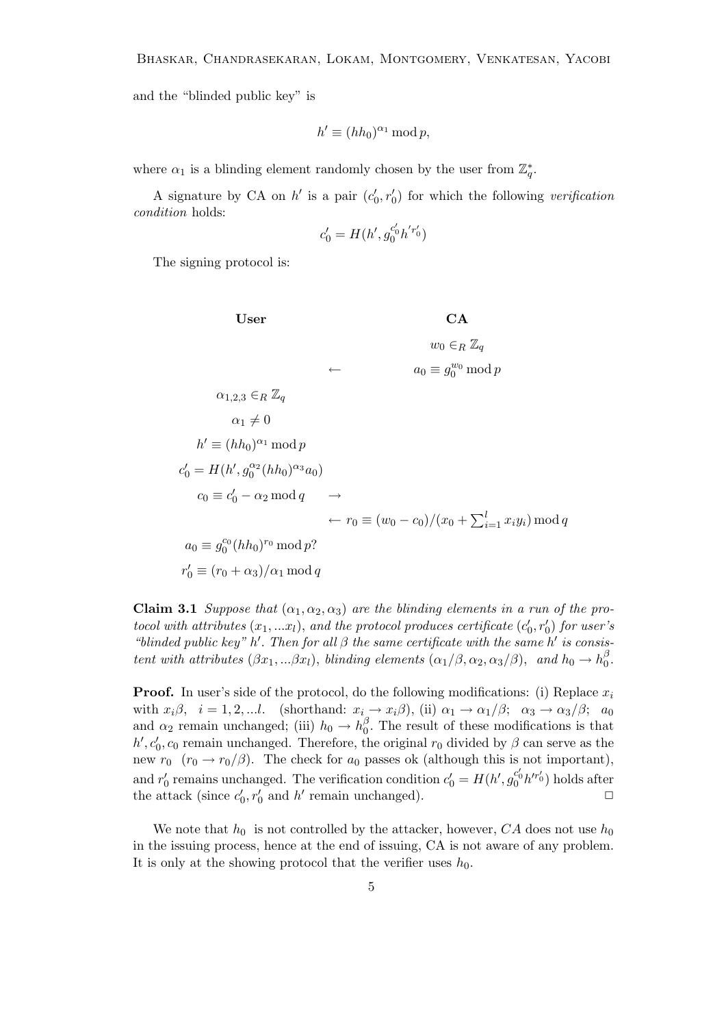and the "blinded public key" is

$$
h' \equiv (hh_0)^{\alpha_1} \bmod p,
$$

where  $\alpha_1$  is a blinding element randomly chosen by the user from  $\mathbb{Z}_q^*$ .

A signature by CA on  $h'$  is a pair  $(c'_0, r'_0)$  for which the following verification condition holds:

$$
c'_0 = H(h', g_0^{c'_0} h^{'r'_0})
$$

The signing protocol is:

**User**

\n
$$
\begin{aligned}\n\mathbf{C}\mathbf{A} & w_0 \in_R \mathbb{Z}_q \\
\hline\n\alpha_{1,2,3} \in_R \mathbb{Z}_q & \Leftrightarrow \alpha_{0} \equiv g_0^{w_0} \mod p \\
\alpha_{1,2,3} \in_R \mathbb{Z}_q & \alpha_1 \neq 0 \\
h' & \equiv (hh_0)^{\alpha_1} \mod p \\
c'_0 & = H(h', g_0^{\alpha_2}(hh_0)^{\alpha_3} a_0) \\
c_0 & \equiv c'_0 - \alpha_2 \mod q & \rightarrow \\
&\qquad \leftarrow r_0 \equiv (w_0 - c_0)/(x_0 + \sum_{i=1}^l x_i y_i) \mod q \\
a_0 & \equiv g_0^{c_0}(hh_0)^{r_0} \mod p? \\
r'_0 & \equiv (r_0 + \alpha_3)/\alpha_1 \mod q\n\end{aligned}
$$

Claim 3.1 Suppose that  $(\alpha_1, \alpha_2, \alpha_3)$  are the blinding elements in a run of the protocol with attributes  $(x_1, ... x_l)$ , and the protocol produces certificate  $(c'_0, r'_0)$  for user's "blinded public key" h'. Then for all  $\beta$  the same certificate with the same h' is consistent with attributes  $(\beta x_1, \ldots, \beta x_l)$ , blinding elements  $(\alpha_1/\beta, \alpha_2, \alpha_3/\beta)$ , and  $h_0 \to h_0^{\beta}$  $\frac{\rho}{0}$ .

**Proof.** In user's side of the protocol, do the following modifications: (i) Replace  $x_i$ with  $x_i\beta$ ,  $i = 1, 2, ...l$ . (shorthand:  $x_i \rightarrow x_i\beta$ ), (ii)  $\alpha_1 \rightarrow \alpha_1/\beta$ ;  $\alpha_3 \rightarrow \alpha_3/\beta$ ;  $a_0$ and  $\alpha_2$  remain unchanged; (iii)  $h_0 \to h_0^{\beta}$  $\int_{0}^{\beta}$ . The result of these modifications is that  $h', c'_0, c_0$  remain unchanged. Therefore, the original  $r_0$  divided by  $\beta$  can serve as the new  $r_0$  ( $r_0 \rightarrow r_0/\beta$ ). The check for  $a_0$  passes ok (although this is not important), and  $r'_0$  remains unchanged. The verification condition  $c'_0 = H(h', g_0^{c'_0} h'^{r'_0})$  holds after the attack (since  $c'_0, r'_0$  and h' remain unchanged).

We note that  $h_0$  is not controlled by the attacker, however, CA does not use  $h_0$ in the issuing process, hence at the end of issuing, CA is not aware of any problem. It is only at the showing protocol that the verifier uses  $h_0$ .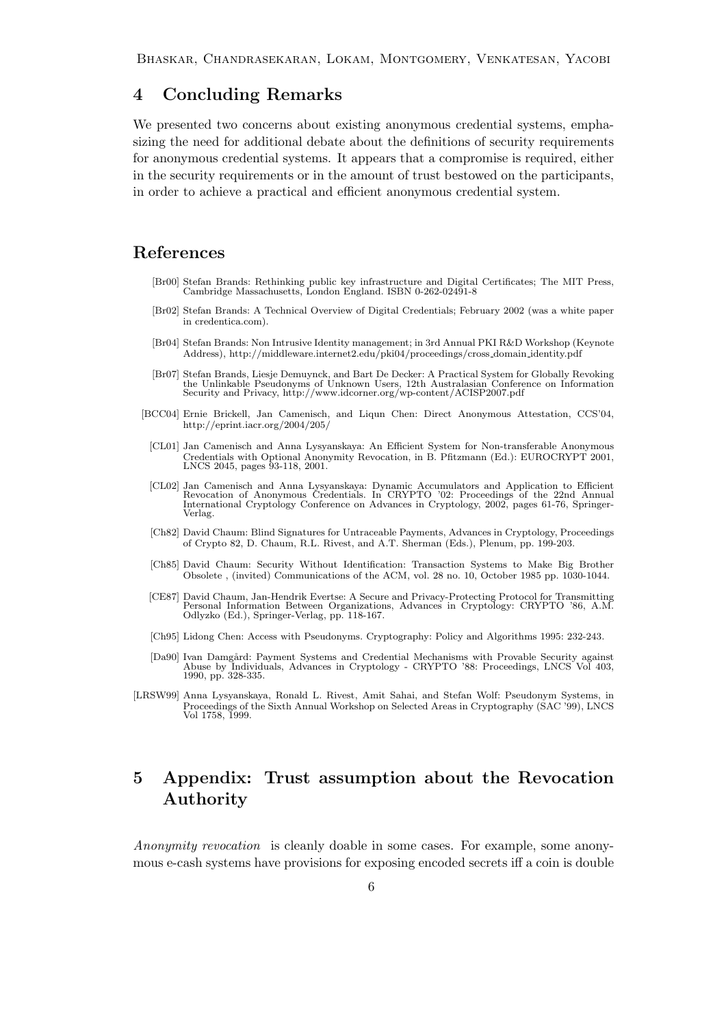### 4 Concluding Remarks

We presented two concerns about existing anonymous credential systems, emphasizing the need for additional debate about the definitions of security requirements for anonymous credential systems. It appears that a compromise is required, either in the security requirements or in the amount of trust bestowed on the participants, in order to achieve a practical and efficient anonymous credential system.

### References

- <span id="page-5-0"></span>[Br00] Stefan Brands: Rethinking public key infrastructure and Digital Certificates; The MIT Press, Cambridge Massachusetts, London England. ISBN 0-262-02491-8
- <span id="page-5-1"></span>[Br02] Stefan Brands: A Technical Overview of Digital Credentials; February 2002 (was a white paper in credentica.com).
- [Br04] Stefan Brands: Non Intrusive Identity management; in 3rd Annual PKI R&D Workshop (Keynote Address), http://middleware.internet2.edu/pki04/proceedings/cross domain identity.pdf
- <span id="page-5-7"></span>[Br07] Stefan Brands, Liesje Demuynck, and Bart De Decker: A Practical System for Globally Revoking<br>the Unlinkable Pseudonyms of Unknown Users, 12th Australasian Conference on Information<br>Security and Privacy, http://www.i
- <span id="page-5-6"></span><span id="page-5-5"></span><span id="page-5-2"></span>[BCC04] Ernie Brickell, Jan Camenisch, and Liqun Chen: Direct Anonymous Attestation, CCS'04, http://eprint.iacr.org/2004/205/
	- [CL01] Jan Camenisch and Anna Lysyanskaya: An Efficient System for Non-transferable Anonymous Credentials with Optional Anonymity Revocation, in B. Pfitzmann (Ed.): EUROCRYPT 2001, LNCS 2045, pages 93-118, 2001.
	- [CL02] Jan Camenisch and Anna Lysyanskaya: Dynamic Accumulators and Application to Efficient<br>Revocation of Anonymous Credentials. In CRYPTO '02: Proceedings of the 22nd Annual<br>International Cryptology Conference on Advance Verlag.
	- [Ch82] David Chaum: Blind Signatures for Untraceable Payments, Advances in Cryptology, Proceedings of Crypto 82, D. Chaum, R.L. Rivest, and A.T. Sherman (Eds.), Plenum, pp. 199-203.
	- [Ch85] David Chaum: Security Without Identification: Transaction Systems to Make Big Brother Obsolete , (invited) Communications of the ACM, vol. 28 no. 10, October 1985 pp. 1030-1044.
	- [CE87] David Chaum, Jan-Hendrik Evertse: A Secure and Privacy-Protecting Protocol for Transmitting Personal Information Between Organizations, Advances in Cryptology: CRYPTO '86, A.M. Odlyzko (Ed.), Springer-Verlag, pp. 118-167.
	- [Ch95] Lidong Chen: Access with Pseudonyms. Cryptography: Policy and Algorithms 1995: 232-243.
	- [Da90] Ivan Damgård: Payment Systems and Credential Mechanisms with Provable Security against<br>Abuse by Individuals, Advances in Cryptology CRYPTO '88: Proceedings, LNCS Vol 403, 1990, pp. 328-335.
- <span id="page-5-3"></span>[LRSW99] Anna Lysyanskaya, Ronald L. Rivest, Amit Sahai, and Stefan Wolf: Pseudonym Systems, in Proceedings of the Sixth Annual Workshop on Selected Areas in Cryptography (SAC '99), LNCS Vol 1758, 1999.

## <span id="page-5-4"></span>5 Appendix: Trust assumption about the Revocation Authority

Anonymity revocation is cleanly doable in some cases. For example, some anonymous e-cash systems have provisions for exposing encoded secrets iff a coin is double